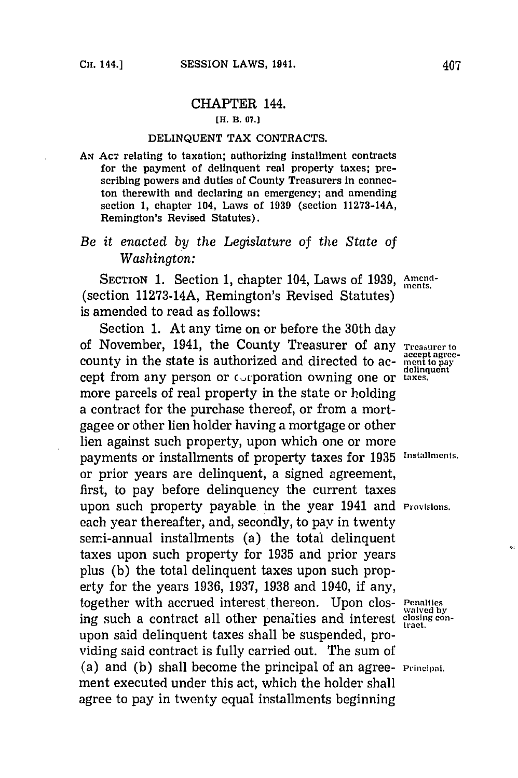## CHAPTER 144. **[H. B. 67.]**

## **DELINQUENT** TAX **CONTRACTS.**

**AN ACT** relating to taxation; authorizing installment contracts for the payment of delinquent real property taxes; prescribing powers and duties of County Treasurers in connecton therewith and declaring an emergency; and amending section **1,** chapter 104, Laws of **1939** (section **11273-14A,** Remington's Revised Statutes).

## *Be it enacted by the Legislature of the State of Washington:*

SECTION 1. Section 1, chapter 104, Laws of 1939, Amend-(section **11273-14A,** Remington's Revised Statutes) is amended to read as follows:

Section **1.** At any time on or before the 30th day of November, 1941, the County Treasurer of any **Treasurer to** county in the state is authorized and directed to ac-<br>delinquent cept from any person or cAporation owning one or **taxes.** more parcels of real property in the state or holding a contract for the purchase thereof, or from a mortgagee or other lien holder having a mortgage or other lien against such property, upon which one or more payments or installments of property taxes for 1935 Installments. or prior years are delinquent, a signed agreement, first, to pay before delinquency the current taxes upon such property payable in the year 1941 and **Provisions.** each year thereafter, and, secondly, to pay in twenty semi-annual installments (a) the total delinquent taxes upon such property for **1935** and prior years plus **(b)** the total delinquent taxes upon such property for the years **1936, 1937, 1938** and 1940, if any, together with accrued interest thereon. Upon clos- **Penalties ing such a contract all other penalties and interest** closing conupon said delinquent taxes shall be suspended, providing said contract is fully carried out. The sum of (a) and **(b)** shall become the principal of an agree- **Principal.** ment executed under this act, which the holder shall agree to pay in twenty equal installments beginning